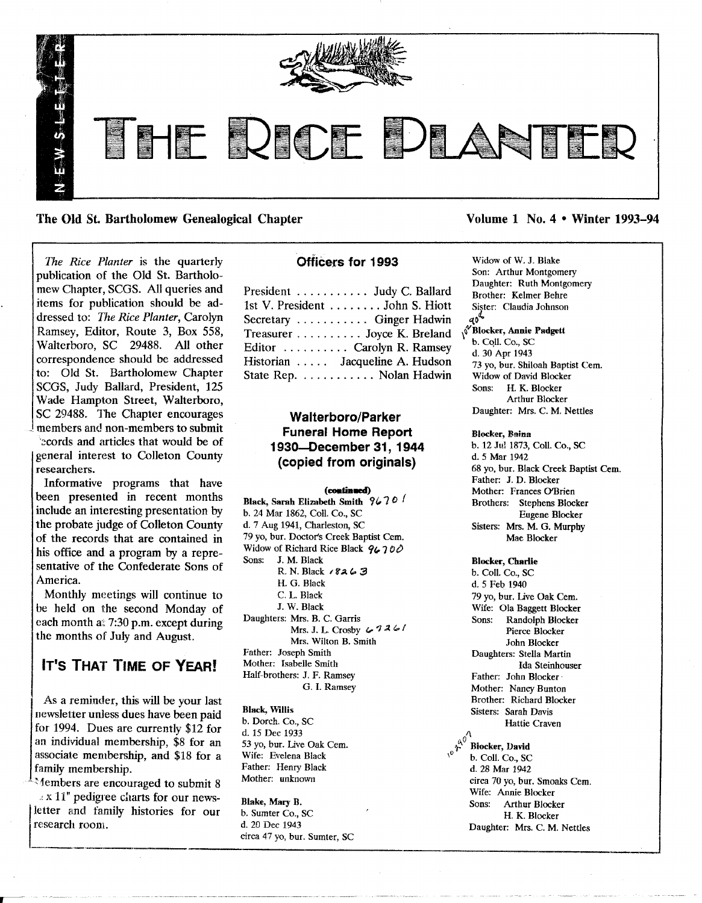

The Old St. Bartholomew Genealogical Chapter Volume 1 No.4 • Winter 1993–94

*The Rice Planter* is the quarterly publication of the Old St. Bartholomew Chapter, SCGS. All queries and items for publication should be addressed to: *The Rice Planter,* Carolyn Ramsey, Editor, Route 3, Box 558, Walterboro, SC 29488. All other correspondence should be addressed to: Old St. Bartholomew Chapter SCGS, Judy Ballard, President, 125 Wade Hampton Street, Walterboro, SC 29488. The Chapter encourages members and non-members to submit ':'?cordsand articles that would be of

general interest to Colleton County researchers.

Informative programs that have been presented in recent months include an interesting presentation by the probate judge of Colleton County of the records that are contained in his office and a program by a representative of the Confederate Sons of America.

Monthly meetings will continue to be held on the second Monday of each month at 7:30 p.m. except during the months of July and August.

# Ir's THAT TIME OF YEAR!

As a reminder, this will be your last<br>newsletter unless dues have been paid<br>for 1994. Dues are currently \$12 for<br>d  $\frac{15 \text{ Des } 1032}{4.15 \text{ Des } 1032}$ an individual membership, \$8 for an 53 yo, bur. Live Oak Cem. associate membership, and \$18 for a Wife: Evelena Black  $\frac{10^{6}}{6}$ , Coll. Co., SC<br>family membership. Father: Henry Black d. 28 Mar 1942

Amothers are encouraged to submit 8 Mother: unknown circa 70 yo, bur. Smoakers are encouraged to submit 8 Mother: unknown circa 70 yo, bur. Smoakers Cern. Wife: Annie Blocker <sup>2</sup>. A 11 pedigree charts for our news-<br> **Blake, Mary B.** Sons: Arthur Blocker  $\frac{1}{\sqrt{1000}}$  H. K. Blocker

# officers for 1993

| President  Judy C. Ballard      |
|---------------------------------|
| 1st V. President  John S. Hiott |
| Secretary  Ginger Hadwin        |
| Treasurer Joyce K. Breland      |
| Editor  Carolyn R. Ramsey       |
| Historian  Jacqueline A. Hudson |
| State Rep. Nolan Hadwin         |

# Walterboro/Parker Funeral Home Report 1930-December 31, 1944 (copied from originals)

# (continued)

Black, Sarah Elizabeth Smith  $9670f$ b. 24 Mar 1862, Call. Co., SC d. 7 Aug 1941, Charleston, SC 79 yo, bur. Doctor's Creek Baptist Cern. Widow of Richard Rice Black  $96700$ <br>Sons: J. M. Black J. M. Black R. N. Black 18263 H. G. Black C. L. Black J. W. Black Daughters: Mrs. B. C. Garris Mrs. J. L. Crosby  $\leftarrow$  726/ Mrs. Wilton B. Smith Father: Joseph Smith Mother: Isabelle Smith Half-brothers: J. F. Ramsey G. 1. Ramsey

d. 15 Dec 1933

<sup>I</sup>re,f.\_.e\_ar\_c\_l.l..\_ro..\_O\_llJ\_. \_\_ • • d.\_.\_2\_0\_D\_ec\_1\_9\_43\_\_\_\_\_\_\_\_\_\_\_\_ Daughter: Mrs. C. M. Nettles \_\_\_ circa 47 yo, bur. Sumter, SC --------~ <sup>I</sup>

Widow of W. J. Blake Son: Arthur Montgomery Daughter: Ruth Montgomery Brother: Kelmer Behre Sister: Claudia Johnson الاست...<br>V Blocker, Annie Padgett∆<br>V Blocker, Annie Padgett⊗ b. Coll. Co., SC d. 30 Apr 1943 73 yo, bur. Shiloah Baptist Cem. Widow of David Blocker Sons: H. K. Blocker

Arthur Blocker Daughter: Mrs. C. M. Nettles

# Blocker, Bains

b. 12 Jnl 1873, Call. Co., SC d.5 Mar 1942 68 yo, bur. Black Creek Baptist Cem. Father: J. D. Blocker Mother: Frances O'Brien Brothers: Stephens Blocker Eugene Blocker Sisters: Mrs. M. G. Murphy Mae Blocker

# Blocker, Charlie

b. Call. Co., SC d. 5 Feb 1940 79 yo, bur. live Oak Cern. Wife: Ola Baggett Blocker Sons: Randolph Blocker Pierce Blocker John Blocker Daughters: Stella Martin Ida Steinhonser Father: John Blocker' Mother: Nancy Bunton Brother: Richard Blocker Sisters: Sarah Davis Hattie Craven family membership. Father: Henry Black and d. 28 Mar 1942<br>Mothers are encouraged to submit 8 Mother: unknown circa 70 yo, bur. Smoaks Cem.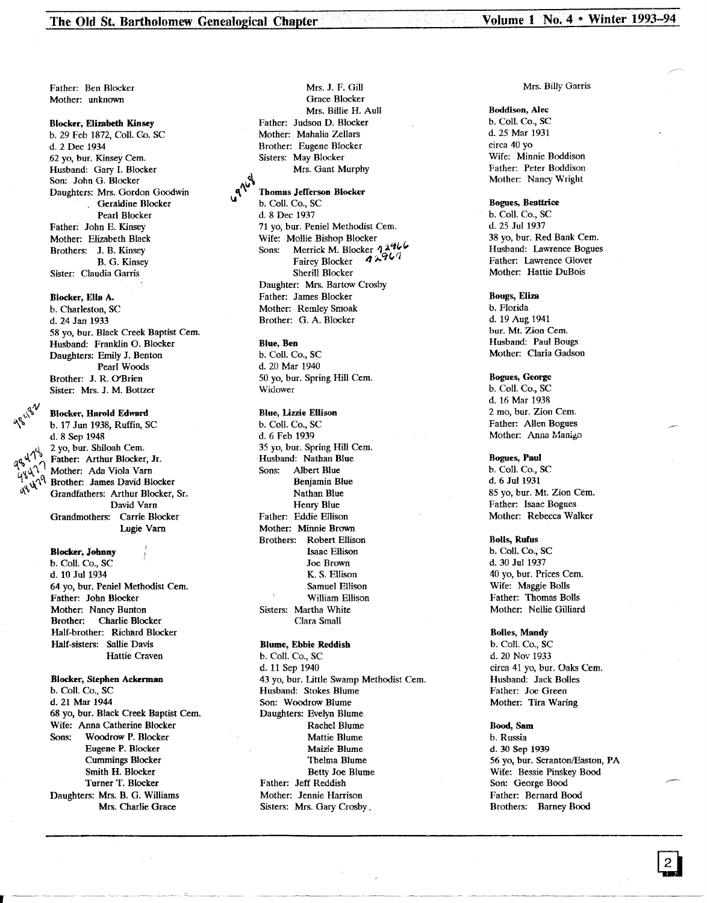Father: Ben Blocker Mother: unknown

## Blocker, Elizabeth Kinsey

b. 29 Feb 1872, Coll. Go. SC d. 2 Dee 1934 62 yo, bur. Kinsey Cern. Husband: Gary I. Blocker Son: John G. Blocker Daughters: Mrs. Gordon Goodwin . Geraldine Blocker Pearl Blocker Father: John E. Kinsey Mother: Elizabeth Black Brothers: J. B. Kinsey B. G. Kinsey Sister: Claudia Garris

#### Blocker, Ella A.

b. Charleston, SC d. 24 Jan 1933 58 vo, bur. Black Creek Baptist Cem. Husband: Franklin O. Blocker Daughters: Emily J. Benton Pearl Woods Brother: J. R. O'Brien Sister: Mrs. J. M. Bottzer

#### Blocker, Harold Edward

b. 17 Jun 1938, Ruffin, SC d. 8 Sep 1948<br>2 yo, bur. Shiloah Cem. qo 47<sup>b</sup> Father: Arthur Blocker, Jr.<br>'Y<sup>q</sup>, *A* Mother: Ada Viola Varn<br>'Y<sup>1</sup> A Mother: Ada Viola Varn Brother: James David Blocker Grandfathers: Arthur Blocker, Sr. David Yarn Grandmothers: Carrie Blocker Lugie Yarn

## Blocker, Johnny

b. Coli. Co., SC d. 10 Jul 1934 64 yo, bur. Peniel Methodist Cern. Father: John Blocker Mother: Nancy Bunton<br>Brother: Charlie Bloc Charlie Blocker Half-brother: Richard Blocker Half-sisters: Sallie Davis Hattie Craven

Blocker, Stephen Ackennan b. Coli. Co., SC d. 21 Mar 1944 68 yo, bur. Black Creek Baptist Cern. Wife: Anna Catherine Blocker Sons: Woodrow P. Blocker Eugene P. Blocker Cummings Blocker Smith H. Blocker Turner T. Blocker Daughters: Mrs. B. G. Williams Mrs. Charlie Grace

Mrs. J. F. Gill Grace Blocker Mrs. Billie H. Aull Father: Judson D. Blocker Mother: Mahalia Zellars Brother: Eugene Blocker Sisters: May Blocker Mrs. Gant Murphy

#### Thomas Jefferson Blocker

b. Coll. Co., SC d.8 Dec 1937 71 yo, bur. Peniel Methodist Cem.<br>Wife: Mollie Bishop Blocker Sons: Merrick M. Blocker 12966<br>Fairey Blocker 12967 Sherill Blocker Daughter: Mrs. Bartow Crosby Father: James Blocker Mother: Remley Smoak Brother: G. A. Blocker

#### Blue, Ben

b. Coil. Co., SC d. 20 Mar 1940 50 yo, bur. Spring Hill Cem. Widower

### Blue, Lizzie Ellison

b. Coli. Co., SC d. 6 Feb 1939 35 yo, bur. Spring Hill Cern. Husband: Nathan Blue Sons: Albert Blue Benjamin Blue Nathan Blue Henry Blue Father: Eddie Ellison Mother: Minnie Brown Brothers: Robert Ellison Isaac Ellison Joe Brown K. S. Ellison Samuel Ellison William Ellison Sisters: Martha White Clara Small

#### Blume, Ebbie Reddish

b. Coli. Co., SC d. 11 Sep 1940 43 yo, bur. Little Swamp Methodist Cem. Husband: Stokes Blume Son: Woodrow Blume Daughters: Evelyn Blume Rachel Blume Mattie Blume Maizie Blume Thelma Blume Betty Joe Blume Father: Jeff Reddish Mother: Jennie Harrison Sisters: Mrs. Gary Crosby.

#### Mrs. Billy Garris

# Boddison, Alec

b. Coli. Co., SC d. 25 Mar 1931 circa 40 yo Wife: Minnie Boddison Father: Peter Boddison Mother: Nancy Wright

# Bogues, Beattrice

b. Coli. Co., SC d. 25 Jul 1937 38 yo, bur. Red Bank Cem. Husband: Lawrence Bogues Father: Lawrence Glover Mother: Hattie DuBois

## Bougs, Eliza

b. Florida d. 19 Aug 1941 bur. Mt. Zion Cem. Husband: Paul Bougs Mother: Claria Gadson

# Bogues, George b. Coil. Co., SC d. 16 Mar 1938

2 mo, bur. Zion Cem. Father: Allen Bogues Mother: Anna Manigo

#### Bogues, Paul

b. Coll. Co., SC d. 6 Jul 1931 85 yo, bur. Mt. Zion Cem. Father: Isaac Bogues Mother: Rebecca Walker

#### Bolls, Rufus

b. Coli. Co., SC d. 30 Jul 1937 40 yo, bur. Prices Cern. Wife: Maggie Bolls Father: Thomas Bolls Mother: Nellie Gilliard

#### Bolles, Mandy

b. Coll. Co., SC d. 20 Nov 1933 circa 41 yo, bur. Oaks Cern. Husband: Jack Bolles Father: Joe Green Mother: Tira Waring

#### Bood, Sam

b. Russia d. 30 Sep 1939 56 yo, bur. Scranton/Easton, PA Wife: Bessie Pinskey Bood Son: George Bood Father: Bernard Bood Brothers: Barney Bood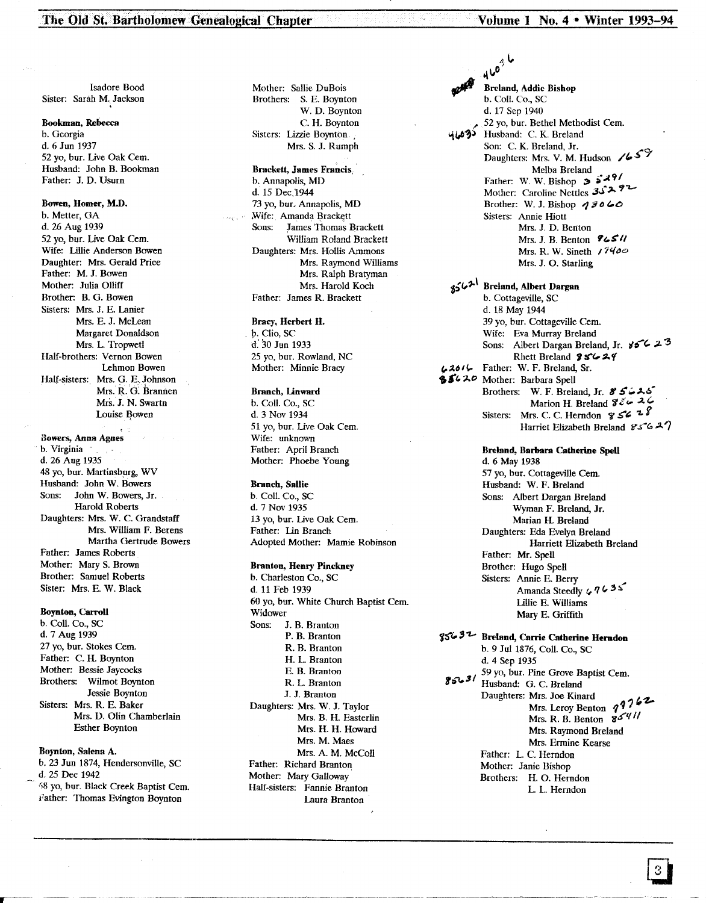Isadore Bood Sister: Sarah M. Jackson

#### Bookman, Rebecca

b. Georgia d. 6 Jun 1937 52 vo. bur. Live Oak Cem. Husband: John B. Bookman Father: J. D. Usurn

### Bowen, Homer, M.D.

b. Metter, GA d. 26 Aug 1939 52 yo, bur. *live* Oak Cern. Wife: Lillie Anderson Bowen Daughter: Mrs. Gerald Price Father: M. J. Bowen Mother: Julia Olliff Brother: B. G. Bowen Sisters: Mrs. J. E. Lanier Mrs. E. J. McLean Margaret Donaldson Mrs. L. Tropwetl Half-brothers: Vernon Bowen Lehmon Bowen Half-sisters: Mrs. G. E. Johnson Mrs. R.O: Brannen Mrs. J. N. Swartn Louise Bowen

Bowers, Anna Agnes b. Virginia d. 26 Aug 1935 48 yo, bur. Martinsburg, WV Husband: John W. Bowers Sons: John W. Bowers, Jr. Harold Roberts Daughters: Mrs. W. C. Grandstaff Mrs. William F. Berens Martha Gertrude Bowers Father: James Roberts Mother: Mary S. Brown Brother: Samuel Roberts Sister: Mrs. E. W. Black

## Boynton, Carroll

b. Coli. Co., SC d. 7 Aug 1939 27 yo, bur. Stokes Cem. Father: C. H. Boynton Mother: Bessie Jaycocks Brothers: Wilmot Boynton Jessie Boynton Sisters: Mrs. R. E. Baker Mrs. D. Olin Chamberlain Esther Boynton

## Boynton, Salena A.

b. 23 Jun 1874, Hendersonville, SC d. 25 Dec 1942 58 yo, bur. Black Creek Baptist Cem. Father: Thomas Evington Boynton

Mother: Sallie DuBois Brothers: S. E. Boynton W. D. Boynton C. H. Boynton Sisters: Lizzie Boynton. Mrs. S. J. Rumph

Brackett, James Francis, b. Annapolis, MD d. 15 Dec.1944 73 yo, bur. Annapolis, MD Wife: Amanda Brackett Sons: James Thomas Brackett William Roland Brackett Daughters: Mrs. Hollis Ammons Mrs. Raymond Williams Mrs. Ralph Bratyman Mrs. Harold Koch Father: James R. Brackett

# Bracy, Herbert H.

p. Clio, SC d: 30 Jun 1933 25 yo, bur. Rowland, NC Mother: Minnie Bracy

### Branch, Unwanl

b. Coil. Co., SC d. 3 Nov 1934 51 yo, bur. *live* Oak Cern. Wife: unknown Father: April Branch Mother: Phoebe Young

#### Branch, Sallie

b. Coil. Co., SC d.7 Nov 1935 13 yo, bur. Live Oak Cem. Father: Lin Branch Adopted Mother: Mamie Robinson

# Branton, Henry Pinckney

b. Charleston Co., SC d. 11 Feb 1939 60 yo, bur. White Church Baptist Cern. Widower Sons: J. B. Branton P. B. Branton R. B. Branton H. L. Branton E. B. Branton R. L. Branton J. J. Branton Daughters: Mrs. W. J. Taylor Mrs. B. H. Easterlin Mrs. H. H. Howard Mrs. M. Maes Mrs. A. M. McColl Father: Richard Branton Mother: Mary Galloway Half-sisters: Fannie Branton Laura Branton

 $_{a}$  U 4 y Breland, Addie Bishop b. ColI. Co., SC d. 17 Sep 1940 52 yo, bur. Bethel Methodist Cern. 463 Husband: C. K. Breland Son: C. K. Breland, Jr.<br>Daughters: Mrs. V. M. Hudson /659 Melba Breland Father: W. W. Bishop  $33491$ Mother: Caroline Nettles 35292 Brother: W. J. Bishop  $\overline{q}$   $\overline{q}$   $\overline{q}$   $\overline{c}$ Sisters: Annie Hiott Mrs. J. D. Benton Mrs. J. B. Benton **96511** Mrs. R. W. Sineth  $17400$ Mrs. J. O. Starling <sub>ያና</sub>ራን<sup>\</sup> Breland, Albert Dargan

b. Cottageville, SC d. 18 May 1944 39 yo, bur. Cottageville Cem. Wife: Eva Murray Breland Sons: Albert Dargan Breland, Jr.  $85^{\circ}$  23 Rhett Breland  $95624$ *,,~6/~* Father: W. F. Breland, Sr. **85620** Mother: Barbara Spell Brothers: W. F. Breland, Jr. 85626 Marion H. Breland  $\mathcal{Z}\subset\mathcal{Z}\subset\mathcal{Z}$ Sisters: Mrs. C. C. Herndon  $\mathcal{G} \subset \mathcal{E}$ Harriet Elizabeth Breland  $856-27$ 

> Breland, Barbara Catherine SpeU d. 6 May 1938 57 yo, bur. Cottageville Cem. Husband: W. F. Breland Sons: Albert Dargan Breland Wyman F. Breland, Jr. Marian H. Breland Daughters: Eda Evelyn Breland Harriett Elizabeth Breland Father: Mr. Spell Brother: Hugo Spell Sisters: Annie E. Berry Amanda Steedly *476*<sup>33</sup> lillie E. Williams Mary E. Griffith

85632 Breland, Carrie Catherine Herndon b. 9 Jul 1876, Call. Co., SC d. 4 Sep 1935<br>59 yo, bur. Pine Grove Baptist Cem.  $8563'$  Husband: G. C. Breland Daughters: Mrs. Joe Kinard<br>Mrs. Leroy Benton *1*762 Mrs. R. B. Benton *g,\$'"t{* II Mrs. Raymond Breland Mrs. Ermine Kearse Father: L. C. Herndon Mother: Janie Bishop Brothers: H. O. Herndon L. L. Herndon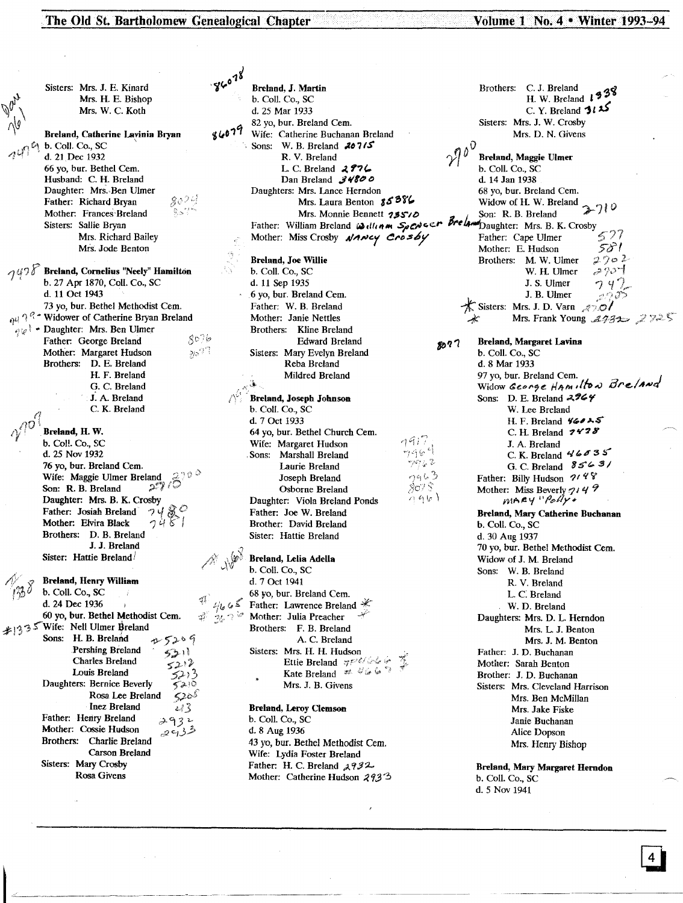The Old St. Bartholomew Genealogical Chapter Volume 1 No. 4 • Winter 1993-94

Sisters: Mrs. J. E. Kinard Mrs. H. E. Bishop Mrs. W. C. Koth Breland, Catherine Lavinia Bryan b. Coil. Co., SC \ d. 21 Dee 1932 66 yo, bur. Bethel Cern. Husband: C. H. Breland Daughter: Mrs. Ben Ulmer 8024 Father: Richard Bryan Mother: Frances'Breland Sisters: Sallie Bryan Mrs. Richard Bailey Mrs. Jode Benton  $\gamma$ 47  $\delta$  Breland, Cornelius "Neely" Hamilton b. 27 Apr 1870, Coil. Co., SC d. 11 Oct 1943 73 yo, bur. Bethel Methodist Cem. 1)'1 '1 *q* \* Widower of Catherine Bryan Breland  $\bigcup_{\varphi,\varphi}$  • Daughter: Mrs. Ben Ulmer  $80%$ Father: George Breland Mother: Margaret Hudson 21-27ع Brothers: D. E. Breland H. F. Breland G. C. Breland *i* A. Breland C. K. Breland Breland, H. W. b. Col!. Co., SC d. 25 Nov 1932 76 yo, bur. Breland Cem. Son: R. B. Breland  $\mathscr{L}$ Daughter: Mrs. B. K. Crosby<br>Father: Josiah Breland  $\gamma \gamma$ Father: Josiah Breland '?'<br>Mother: Elvira Black '?' Brothers: D. B. Breland J. J. Breland Sister: Hattie Breland **Breland, Henry William b. Coll. Co., SC** d. 24 Dee 1936 60 yo, bur. Bethel Methodist Cem.<br>  $|33 \times 10^{18} \text{W}$  Nife: Nell Ulmer Breland 26 Sons: H. B. Breland  $\psi$  5209 Pershing Breland Charles Breland Louis Breland Daughters: Bernice Beverly Rosa Lee Breland Inez Breland  $\sqrt{3}$ Father: Henry Breland ,~'131.- Mother: Cossie Hudson *d2 C,1;'.?* Brothers: Charlie Breland Carson Breland Sisters: Mary Crosby Rosa Givens

Breland, J. Martin Brothers: C. J. Breland  $\uparrow$  38<br>b. Coll. Co., SC H. W. Breland  $\downarrow$  39 b. Coil. Co., SC d. 25 Mar 1933 C. Y. Breland H. W. Breland *"1:U*I ~ ~ 82 yo, bur. Breland Cem.<br>
Wife: Catherine Buchanan Breland Mis. D. N. Givens Mis. D. N. Givens 1679ء، Wife: Catherine Buchanan Breland<br>
Sons: W. B. Breland<br>
R. V. Breland<br>  $\theta h^0$ Sons: W. B. Breland **20715**<br>R. V. Breland R. V. Breland **2974**<br>
L. C. Breland **2974**<br>
Dan Breland **34800**<br>
d. 14 Jan 1938 Dan Breland  $J\mathcal{H}8\varnothing\varnothing$  d. 14 Jan 1938<br>
ers: Mrs. Lance Herndon 68 yo, bur. Breland Cem. Daughters: Mrs. Lance Herndon 68 yo, bur. Breland Cem.<br>
Mrs. Laura Benton 68 58% Widow of H. W. Breland Mrs. Monnie Bennett 19510<br>Father: William Breland William Spewser Breland Daughter: Mrs. B. K. Crosby<br>Mother: Miss Crosby *NANCY Crosby* Father: Cape Ulmer Mother: Miss Crosby *AANcy Crosby* Father: Cape Ulmer 577<br>Mother: E. Hudson 58<sup>9</sup> Breland, Joe Willie b. Coli. Co., SC d. 11 Sep 1935 6 yo, bur. Breland Cern. Father: W. B. Breland Mother: Janie Nettles Brothers: Kline Breland Edward Breland  $8077$ Sisters: Mary Evelyn Breland Reba Breland Mildred Breland Breland, Joseph Johnson b. Coli. Co., SC d. 7 Oct 1933 64 yo, bur. Bethel Church Cern.  $1917$ Wife: Margaret Hudson  $\triangle$  (e) Sons: Marshall Breland Laurie Breland  $7963$ Joseph Breland  $8075$ Osborne Breland ハりいし Daughter: Viola Breland Ponds Father: Joe W. Breland Brother: David Breland Sister: Hattie Breland Breland, Lelia AdeUa b. Coli. Co., SC d. 7 Oct 1941 68 yo, bur. Breland Cem. Father: Lawrence Breland Mother: Julia Preacher Brothers: F. B. Breland A. C. Breland Sisters: Mrs. H. H. Hudson Ettie Breland  $\pi^{rel}$ Kate Breland #:  $\forall \mathcal{G} \subseteq \mathcal{G}$ Mrs. J. B. Givens

#### Breland, Leroy Clemson

b. Coli. Co., SC d. 8 Aug 1936 43 yo, bur. Bethel Methodist Cem. Wife: Lydia Foster Breland Father: H. C. Breland  $.4932$ Mother: Catherine Hudson  $2933$ 

Mrs. Laura Benton **80** Free Willow of H. W. Breland  $\frac{1}{2}$  *0*<br>Mrs. Monnie Bennett **18510** Mother: E. Hudson Brothers: M. W. Ulmer  $\frac{270-2}{8}$ <br>W. H. Ulmer  $\frac{270-2}{8}$ W. H. Ulmer J. S. Ulmer  $74$ J. B. Ulmer **K** Sisters: Mrs. J. D. Varn<br> **Mrs. Frank You** Mrs. Frank Young *2732* 2725 Breland, Margaret Lavina b. Coli. Co., SC d.8 Mar 1933 97 yo, bur. Breland Cem.<br>Widow George Ham, Ito *N* Breland Sons: D. E. Breland  $2964$ W. Lee Breland H. F. Breland *1{(#o'A~* C. H. Breland  $7478$ <br>J. A. Breland C. K. Breland  $46635$ G. C. Breland  $8563/$ Father: Billy Hudson  $21$   $4$   $8$ Mother: Miss Beverly 7149<br> $mA = \gamma$ <sup>1</sup>  $\beta$ olly 4 Breland, Mary Catherine Buchanan b. Coli. Co., SC d. 30 Aug 1937 70 yo, bur. Bethel Methodist Cern. Widow of J. M. Breland Sons: W. B. Breland R. V. Breland L. c: Breland W. D. Breland Daughters: Mrs. D. L. Herndon Mrs. L J. Benton Mrs. J. M. Benton Father: J. D. Buchanan Mother: Sarah Benton Brother: J. D. Buchanan Sisters: Mrs. Cleveland Harrison Mrs. Ben McMillan Mrs. Jake Fiske Janie Buchanan Alice Dopson Mrs. Henry Bishop

> Breland, Mary Margaret Herndon b. Coli. Co., SC d.5 Nov 1941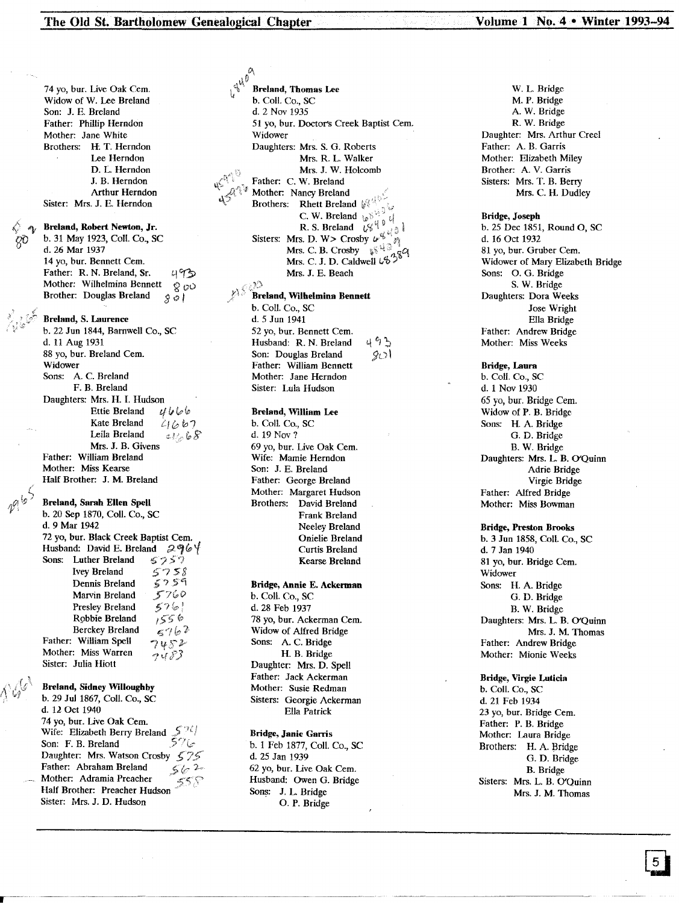'"

*(0*  $5767$  $7482$ <br>7483 ycry *'200* \$' *<sup>0</sup>* I Breland, Robert Newton, Jr. b. 31 May 1923, Coli. Co., SC d. 26 Mar 1937 14 yo, bur. Bennett Cem. Father: R. N. Breland, Sr. Mother: Wilhelmina Bennett Brother: Douglas Breland 74 yo, bur. Live Oak Cem. Widow of W. Lee Breland Son: J. E. Breland Father: Phillip Herndon Mother: Jane White Brothers: H. T. Herndon Lee Herndon D. L. Herndon J. B. Herndon Arthur Herndon Sister: Mrs. J. E. Herndon Breland, Sarah Ellen Spell b. 20 Sep 1870, Coli. Co., SC d. 9 Mar 1942 72 yo, bur. Black Creek Baptist Cem. Husband: David E. Breland  $296$ <sup>/</sup>/<sup>*Sons:* Luther Breland  $525$ ?</sup> Sons: Luther Breland *575?*<br>Ivey Breland *5758* Ivey Breland 5758<br>Dennis Breland 5759 Dennis Breland Marvin Breland Presley Breland Robbie Breland Berckey Breland Father: William Spell Mother: Miss Warren Sister: Julia Hiott Breland, S. Laurence b. 22 Jun 1844, Barnwell Co., SC d. 11 Aug 1931 88 yo, bur. Breland Cem. Widower Sons: A. C. Breland F. B. Breland Daughters: Mrs. H. I. Hudson<br>Ettie Breland  $\mathcal{U}\mathcal{U}\mathcal{U}\mathcal{U}$ Ettie Breland Kate Breland  $2/667$ <br>Leila Breland  $2/66$ Leila Breland Mrs. J. B. Givens Father: William Breland Mother: Miss Kearse Half Brother: J. M. Breland Breland, Sidney Willoughby b. 29 Jul 1867, Coli. Co., SC d. 12 Oct 1940 ~§,.'

 $\zeta$ 

*S7S-*Daughter: Mrs. Watson Crosby  $562$ 74 yo, bur. Live Oak Cem. Wife: Elizabeth Berry Breland Son: F. B. Breland Father: Abraham Breland Mother: Adramia Preacher Half Brother: Preacher Hudson Sister: Mrs. J. D. Hudson

 $\int_0^{d^{V_i}}$  Breland, Thomas Lee b. Coli. Co., SC d. 2 Nov 1935 51 yo, bur. Doctor's Creek Baptist cern. Widower Daughters: Mrs. S. G. Roberts Mrs. R. L. Walker Mrs. J. W. Holcomb Father: C. W. Breland Mother: Nancy Breland **Brothers:** Rhett Breland  $\psi$ C. W. Breland  $\psi$ R. S. Breland  $\sqrt{\frac{u}{v}}$ <sup>4</sup> Sisters: Mrs. D. W> Crosby  $u^{\nu}$   $\begin{bmatrix} 1 & 0 \\ 0 & 1 \end{bmatrix}$ <br>Mrs. C. B. Crosby  $\begin{bmatrix} 1 & 0 \\ 0 & 1 \end{bmatrix}$ Mrs. C. J. D. Caldwell  $\mathfrak{G}^{\mathfrak{H}}$ Mrs. J. E. Beach  $\mathcal{P}$ "Breland, Wilhelmina Bennett b. Coli. Co., SC d. 5 Jun 1941

 $4.9<sup>2</sup>$  $9$ 52 yo, bur. Bennett Cem. Husband: R. N. Breland Son: Douglas Breland Father: William Bennett Mother: Jane Herndon Sister: Lula Hudson

# Breland, William Lee

b. Coli. Co., SC d. 19 Nov? 69 yo, bur. Live Oak Cern. Wife: Mamie Herndon Son: J. E. Breland Father: George Breland Mother: Margaret Hudson Brothers: David Breland Frank Breland Neeley Breland Onielie Breland Curtis Breland Kearse Breland

# Bridge, Annie E. Ackerman

b. Coli. Co., SC d. 28 Feb 1937 78 yo, bur. Ackerman Cem. Widow of Alfred Bridge Sons: A. C. Bridge H. B. Bridge Daughter: Mrs. D. Spell Father: Jack Ackerman Mother: Susie Redman Sisters: Georgie Ackerman Ella Patrick

# Bridge, Janie Garris

b. 1 Feb 1877, Coli. Co., SC d. 25 Jan 1939 62 yo, bur. Live Oak Cem. Husband: Owen G. Bridge Sons: J. L. Bridge O. P. Bridge

W. L. Bridge M. P. Bridge A. W. Bridge R. W. Bridge Daughter: Mrs. Arthur Creel Father: A. B. Garris Mother: Elizabeth Miley Brother: A. V. Garris Sisters: Mrs. T. B. Berry Mrs. C. H. Dudley

#### Bridge, Joseph

b. 25 Dec 1851, Round 0, SC d. 16 Oct 1932 81 vo, bur. Gruber Cem. Widower of Mary Elizabeth Bridge Sons: O. G. Bridge S. W. Bridge Daughters: Dora Weeks Jose Wright Ella Bridge Father: Andrew Bridge Mother: Miss Weeks

# Bridge, Laura

b. Coli. Co., SC d. 1 Nov 1930 65 yo, bur. Bridge Cern. Widow of P. B. Bridge Sons: H. A. Bridge G. D. Bridge B. W. Bridge Daughters: Mrs. L. B. O'Quinn Adrie Bridge Virgie Bridge Father: Alfred Bridge Mother: Miss Bowman

#### Bridge, Preston Brooks

b. 3 Jun 1858, Coli. Co., SC d. 7 Jan 1940 81 yo, bur. Bridge Cem. Widower Sons: H. A. Bridge G. D. Bridge B. W. Bridge Daughters: Mrs. L. B. O'Quinn Mrs. J. M. Thomas Father: Andrew Bridge Mother: Mionie Weeks

Bridge, Virgie Luticia b. Coli. Co., SC d. 21 Feb 1934 23 yo, bur. Bridge Cem. Father: P. B. Bridge Mother: Laura Bridge Brothers: H. A. Bridge G. D. Bridge B. Bridge Sisters: Mrs. L. B. O'Quinn Mrs. J. M. Thomas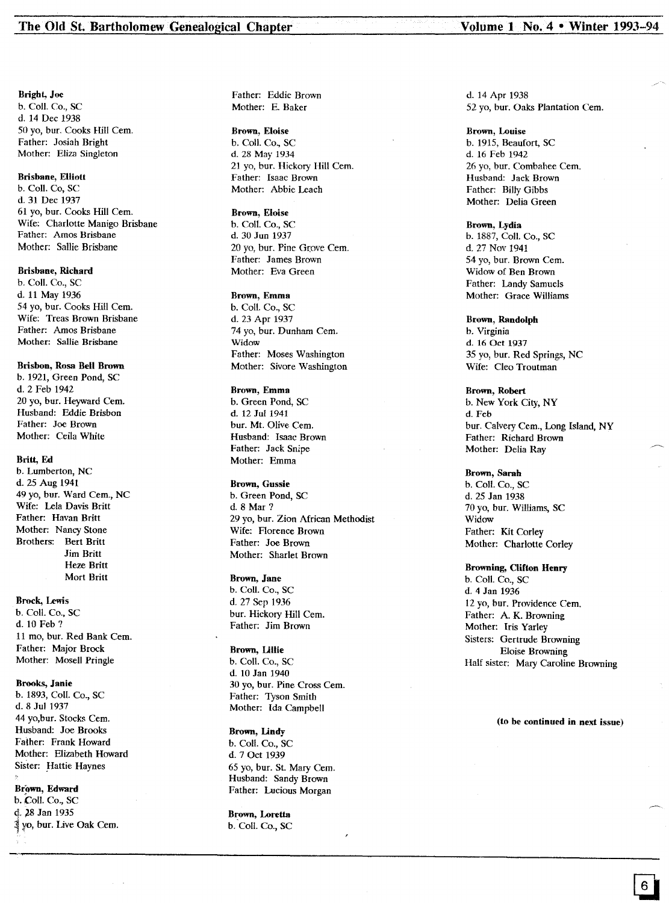#### Bright, Joe

b. CoIl. Co., sc d. 14 Dec 1938 50 yo, bur. Cooks Hill Cern. Father: Josiah Bright Mother: Eliza Singleton

## Brisbane, Elliott

b. CoIl. Co, SC d. 31 Dec 1937 61 yo, bur. Cooks Hill Cern. Wife: Charlotte Manigo Brisbane Father: Amos Brisbane Mother: Sallie Brisbane

# Brisbane, Richard

b. Coll. Co., SC d. 11 May 1936 54 yo, bur. Cooks Hill Cern. Wife: Treas Brown Brisbane Father: Amos Brisbane Mother: Sallie Brisbane

# Brisbon, Rosa Bell Brown

b. 1921, Green Pond, SC d. 2 Feb 1942 20 yo, bur. Heyward Cem. Husband: Eddie Brisbon Father: Joe Brown Mother: Ceila White

## Britt, Ed

b. Lumberton, NC d. 25 Aug 1941 49 yo, bur. Ward Cem., NC Wife: Lela Davis Britt Father: Havan Britt Mother: Nancy Stone Brothers: Bert Britt Jim Britt Heze Britt Mort Britt

### Brock, lewis

b. Coli. Co., SC d. 10 Feb? 11 mo, bur. Red Bank Cem. Father: Major Brock Mother: Mosell Pringle

#### Brooks, Janie

b. 1893, ColI. Co., SC d. 8 Jul 1937 44 yo,bur. Stocks Cem. Husband: Joe Brooks Falher: Frank Howard Mother: Elizabeth Howard Sister: Hattie Haynes

#### Brown, Edward

b. Coll. Co., SC d. )8 Jan 1935 1¥o, bur. Live Oak cern. Father: Eddie Brown Mother: E. Baker

# Brown, Eloise

b. CoIl. Co., SC d. 28 May 1934 21 yo, bur. Hickory Hill Cern. Father: Isaac Brown Mother: Abbie Leach

#### Brown, Eloise

b. Coil. Co., SC d. 30 Jun 1937 20 yo, bur. Pine Grove Cem. Father: James Brown Mother: Eva Green

#### Brown, Emma

b. Coil. Co., SC d. 23 Apr 1937 74 yo, bur. Dunham Cem. Widow Father: Moses Washington Mother: Sivore Washington

# Brown, Emma

b. Green Pond, SC d. 12 Jul 1941 bur. Mt. Olive Cem. Husband: Isaac Brown Father: Jack Snipe Mother: Emma

#### Brown, Gussie

b. Green Pond, SC d. 8 Mar? 29 yo, bur. Zion African Methodist Wife: Florence Brown Father: Joe Brown Mother: Sharlet Brown

### Brown, Jane

b. ColI. Co., SC d. 27 Sep 1936 bur. Hickory Hill Cern. Father: Jim Brown

#### Brown, Lillie

b. Coli. Co., SC d. 10 Jan 1940 30 yo, bur. Pine Cross Cern. Father: Tyson Smith Mother: Ida Campbell

# Brown, Lindy b. Coll. Co., sc d. 7 Oct 1939 65 yo, bur. St. Mary Cern. Husband: Sandy Brown Father: Lucious Morgan

Brown, Loretta b. Coil. Co., SC d. 14 Apr 1938 52 yo, bur. Oaks Plantation Cem.

## Brown, Louise b. 1915, Beaufort, SC d. 16 Feb 1942 26 yo, bur. Combahee Cem. Husband: Jack Brown Father: Billy Gibbs Mother: Delia Green

Brown, Lydia b. 1887, CoIl. Co., SC d. 27 Nov 1941 54 yo, bur. Brown Cern. Widow of Ben Brown Father: Landy Samuels Mother: Grace Williams

Brown, Randolph b. Virginia d. 16 Oct 1937 35 yo, bur. Red Springs, NC Wife: Cleo Troutman

Brown, Robert b. New York City, NY d. Feb bur. Calvery Cem., Long Island, NY Father: Richard Brown Mother: Delia Ray

## Brown, Sarah

b. Coli. Co., SC d. 25 Jan 1938 70 yo, bur. Williams, SC Widow Father: Kit Corley Mother: Charlotte Corley

### Browning, Clifton Henry

b. ColI. Co., SC d. 4 Jan 1936 12 yo, bur. Providence Cern. Father: A. K. Browning Mother: Iris Yarley Sisters: Gertrude Browning Eloise Browning Half sister: Mary Caroline Browning

# (to be continued in next issue)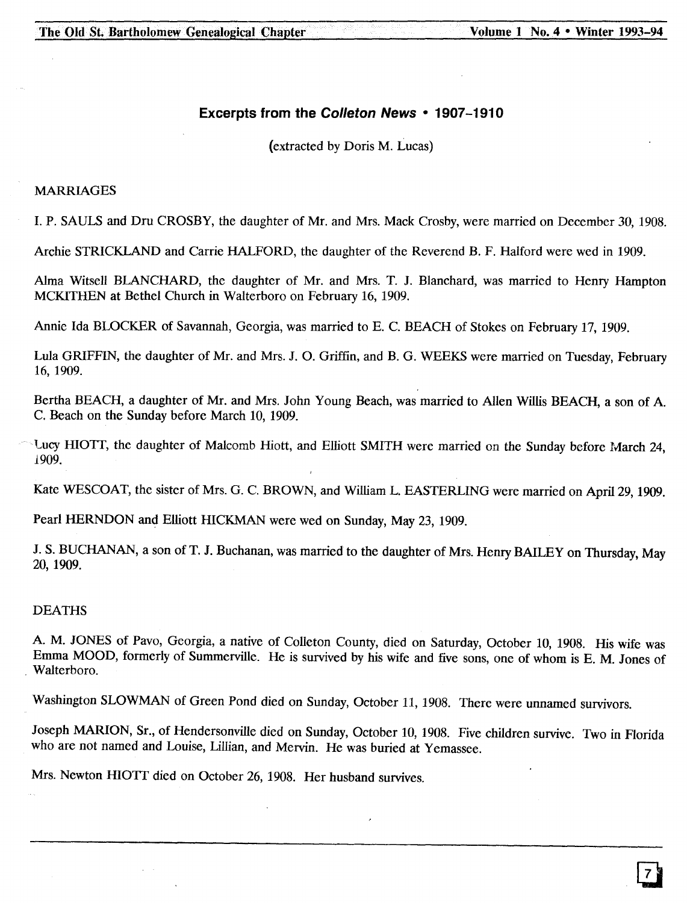# **Excerpts from the Colleton News • 1907-1910**

(extracted by Doris M. Lucas)

# MARRIAGES

I. P. SAULS and Dru CROSBY, the daughter of Mr. and Mrs. Mack Crosby, were married on December 30, 1908.

Archie STRICKLAND and Carrie HALFORD, the daughter of the Reverend B. F. Halford were wed in 1909.

Alma Witsell BlANCHARD, the daughter of Mr. and Mrs. T. J. Blanchard, was married to Henry Hampton MCKITHEN at Bethel Church in Walterboro on February 16,1909.

Annie Ida BLOCKER of Savannah, Georgia, was married to E. C. BEACH of Stokes on February 17, 1909.

Lula GRIFFIN, the daughter of Mr. and Mrs. J. O. Griffin, and B. G. WEEKS were married on Tuesday, February 16, 1909.

Bertha BEACH, a daughter of Mr. and Mrs. John Young Beach, was married to Allen Willis BEACH, a son of A. C. Beach on the Sunday before March 10, 1909.

Lucy HIOTT, the daughter of Malcomb Hiott, and Elliott SMITH were married on the Sunday before March 24, 1909.

Kate WESCOAT, the sister of Mrs. G. C. BROWN, and William L. EASTERLING were married on April 29, 1909.

Pearl HERNDON and Elliott HICKMAN were wed on Sunday, May 23,1909.

J. S. BUCHANAN, a son of T. J. Buchanan, was married to the daughter of Mrs. Henry BAILEY on Thursday, May 20,1909.

# DEATHS

A. M. JONES of Pavo, Georgia, a native of Colleton County, died on Saturday, October 10, 1908. His wife was Emma MOOD, formerly of Summerville. He is survived by his wife and five sons, one of whom is E. M. Jones of . Walterboro.

Washington SLOWMAN of Green Pond died on Sunday, October 11, 1908. There were unnamed survivors.

Joseph MARION, Sr., of Hendersonville died on Sunday, October 10, 1908. Five children survive. Two in Florida who are not named and Louise, Lillian, and Mervin. He was buried at Yemassee.

Mrs. Newton HIOTT died on October 26,1908. Her husband survives.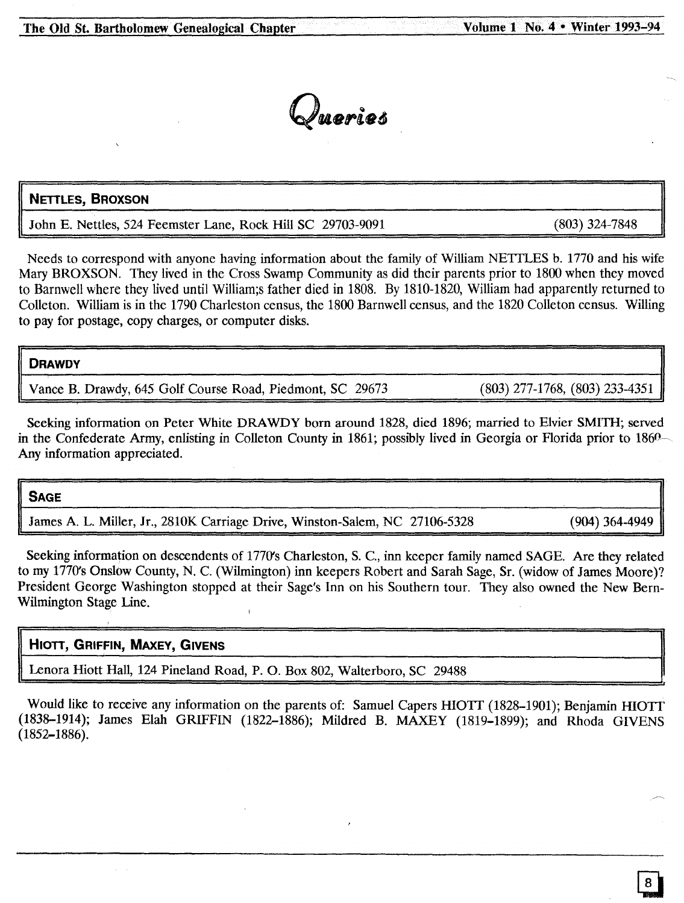Queries

# NETTLES, BROXSON

John E. Nettles, 524 Feemster Lane, Rock Hill SC 29703-9091

Needs to correspond with anyone having information about the family of William NETTLES b. 1770 and his wife Mary BROXSON. They lived in the Cross Swamp Community as did their parents prior to 1800 when they moved to Barnwell where they lived until William;s father died in 1808. By 1810-1820, William had apparently returned to Colleton. William is in the 1790 Charleston census, the 1800 Barnwell census, and the 1820 Colleton census. Willing to pay for postage, copy charges, or computer disks.

# **DRAWDY**

Vance B. Drawdy, 645 Golf Course Road, Piedmont, SC 29673 (803) 277-1768, (803) 233-4351

Seeking information on Peter White DRAWDY born around 1828, died 1896; married to Elvier SMITH; served in the Confederate Army, enlisting in Colleton County in 1861; possibly lived in Georgia or Florida prior to 1860 Any information appreciated.

# SAGE

James A. L. Miller, Jr., 2810K Carriage Drive, Winston-Salem, NC 27106-5328 (904) 364-4949

Seeking information on descendents of 1770's Charleston, S. C., inn keeper family named SAGE. Are they related to my 1770's Onslow County, N. C. (Wilmington) inn keepers Robert and Sarah Sage, Sr. (widow of James Moore)? President George Washington stopped at their Sage's Inn on his Southern tour. They also owned the New Bern-Wilmington Stage Line.

# HIOTT, GRIFFIN, MAXEY, GIVENS

Lenora Hiott Hall, 124 Pineland Road, P. O. Box 802, Walterboro, SC 29488

Would like to receive any information on the parents of: Samuel Capers HIOTT (1828–1901); Benjamin HIOTT (1838-1914); James Elah GRIFFIN (1822-1886); Mildred B. MAXEY (1819-1899); and Rhoda GIVENS (1852-1886).

(803) 324-7848